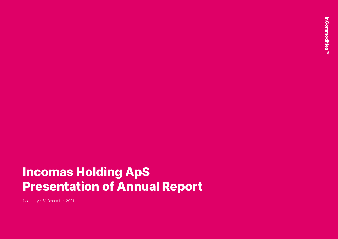# Incomas Holding ApS Presentation of Annual Report

1 January - 31 December 2021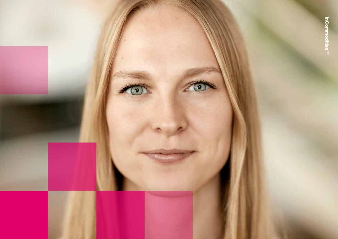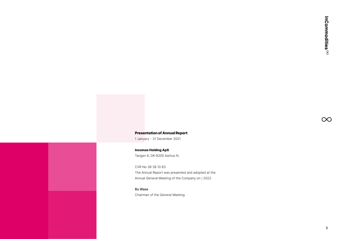#### Presentation of Annual Report

1 January - 31 December 2021

### Incomas Holding ApS

Tangen 6, DK-8200 Aarhus N.

#### CVR No 38 38 10 83 The Annual Report was presented and adopted at the Annual General Meeting of the Company on / 2022

Bo Wase Chairman of the General Meeting

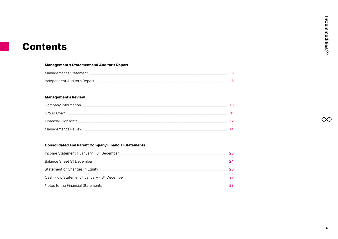# **Contents**

#### **Management's Statement and Auditor's Report**

| Management's Statement       |  |
|------------------------------|--|
| Independent Auditor's Report |  |

#### **Management's Review**

| Company Information         | 10 |
|-----------------------------|----|
| <b>Group Chart</b>          | 11 |
| <b>Financial Highlights</b> | 12 |
| Management's Review         | 14 |

#### **Consolidated and Parent Company Financial Statements**

| Income Statement 1 January - 31 December    | 23 |
|---------------------------------------------|----|
| Balance Sheet 31 December                   | 24 |
| Statement of Changes in Equity              | 26 |
| Cash Flow Statement 1 January - 31 December | 27 |
| Notes to the Financial Statements           | 28 |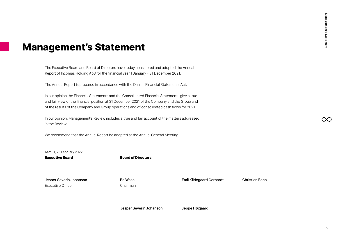# Management's Statement

The Executive Board and Board of Directors have today considered and adopted the Annual Report of Incomas Holding ApS for the financial year 1 January - 31 December 2021.

The Annual Report is prepared in accordance with the Danish Financial Statements Act.

In our opinion the Financial Statements and the Consolidated Financial Statements give a true and fair view of the financial position at 31 December 2021 of the Company and the Group and of the results of the Company and Group operations and of consolidated cash flows for 2021.

In our opinion, Management's Review includes a true and fair account of the matters addressed in the Review.

We recommend that the Annual Report be adopted at the Annual General Meeting.

Executive Board Aarhus, 25 February 2022 Board of Directors Emil Kildegaard Gerhardt Christian Bach Bo Wase Chairman Jesper Severin Johanson Executive Officer

Jesper Severin Johanson Jeppe Højgaard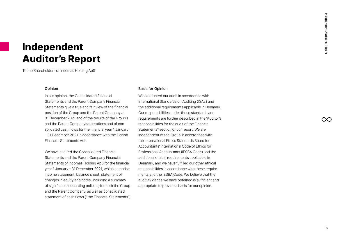# Independent Auditor's Report

To the Shareholders of Incomas Holding ApS

#### Opinion

In our opinion, the Consolidated Financial Statements and the Parent Company Financial Statements give a true and fair view of the financial position of the Group and the Parent Company at 31 December 2021 and of the results of the Group's and the Parent Company's operations and of consolidated cash flows for the financial year 1 January - 31 December 2021 in accordance with the Danish Financial Statements Act.

We have audited the Consolidated Financial Statements and the Parent Company Financial Statements of Incomas Holding ApS for the financial year 1 January - 31 December 2021, which comprise income statement, balance sheet, statement of changes in equity and notes, including a summary of significant accounting policies, for both the Group and the Parent Company, as well as consolidated statement of cash flows ("the Financial Statements").

#### Basis for Opinion

We conducted our audit in accordance with International Standards on Auditing ( ISAs ) and the additional requirements applicable in Denmark. Our responsibilities under those standards and requirements are further described in the "Auditor's responsibilities for the audit of the Financial Statements" section of our report. We are independent of the Group in accordance with the International Ethics Standards Board for Accountants' International Code of Ethics for Professional Accountants (IESBA Code) and the additional ethical requirements applicable in Denmark, and we have fulfilled our other ethical responsibilities in accordance with these requirements and the IESBA Code. We believe that the audit evidence we have obtained is sufficient and appropriate to provide a basis for our opinion.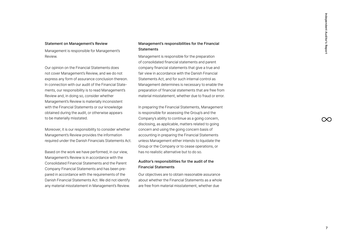#### Statement on Management's Review

Management is responsible for Management's Review.

Our opinion on the Financial Statements does not cover Management's Review, and we do not express any form of assurance conclusion thereon. In connection with our audit of the Financial Statements, our responsibility is to read Management's Review and, in doing so, consider whether Management's Review is materially inconsistent with the Financial Statements or our knowledge obtained during the audit, or otherwise appears to be materially misstated.

Moreover, it is our responsibility to consider whether Management's Review provides the information required under the Danish Financials Statements Act.

Based on the work we have performed, in our view, Management's Review is in accordance with the Consolidated Financial Statements and the Parent Company Financial Statements and has been prepared in accordance with the requirements of the Danish Financial Statements Act. We did not identify any material misstatement in Management's Review.

#### Management's responsibilities for the Financial **Statements**

Management is responsible for the preparation of consolidated financial statements and parent company financial statements that give a true and fair view in accordance with the Danish Financial Statements Act, and for such internal control as Management determines is necessary to enable the preparation of financial statements that are free from material misstatement, whether due to fraud or error.

In preparing the Financial Statements, Management is responsible for assessing the Group's and the Company's ability to continue as a going concern, disclosing, as applicable, matters related to going concern and using the going concern basis of accounting in preparing the Financial Statements unless Management either intends to liquidate the Group or the Company or to cease operations, or has no realistic alternative but to do so.

#### Auditor's responsibilities for the audit of the Financial Statements

Our objectives are to obtain reasonable assurance about whether the Financial Statements as a whole are free from material misstatement, whether due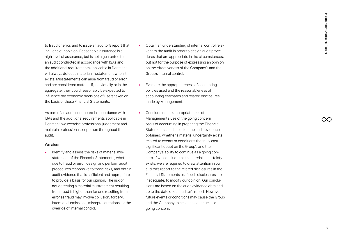to fraud or error, and to issue an auditor's report that includes our opinion. Reasonable assurance is a high level of assurance, but is not a guarantee that an audit conducted in accordance with ISAs and the additional requirements applicable in Denmark will always detect a material misstatement when it exists. Misstatements can arise from fraud or error and are considered material if, individually or in the aggregate, they could reasonably be expected to influence the economic decisions of users taken on the basis of these Financial Statements.

As part of an audit conducted in accordance with ISAs and the additional requirements applicable in Denmark, we exercise professional judgement and maintain professional scepticism throughout the audit.

#### We also:

■ Identify and assess the risks of material misstatement of the Financial Statements, whether due to fraud or error, design and perform audit procedures responsive to those risks, and obtain audit evidence that is sufficient and appropriate to provide a basis for our opinion. The risk of not detecting a material misstatement resulting from fraud is higher than for one resulting from error as fraud may involve collusion, forgery, intentional omissions, misrepresentations, or the override of internal control.

- Obtain an understanding of internal control rele vant to the audit in order to design audit proce dures that are appropriate in the circumstances, but not for the purpose of expressing an opinion on the effectiveness of the Company's and the Group's internal control.
- Evaluate the appropriateness of accounting policies used and the reasonableness of accounting estimates and related disclosures made by Management.
- Conclude on the appropriateness of Management's use of the going concern basis of accounting in preparing the Financial Statements and, based on the audit evidence obtained, whether a material uncertainty exists related to events or conditions that may cast significant doubt on the Group's and the Company's ability to continue as a going con cern. If we conclude that a material uncertainty exists, we are required to draw attention in our auditor's report to the related disclosures in the Financial Statements or, if such disclosures are inadequate, to modify our opinion. Our conclu sions are based on the audit evidence obtained up to the date of our auditor's report. However, future events or conditions may cause the Group and the Company to cease to continue as a going concern.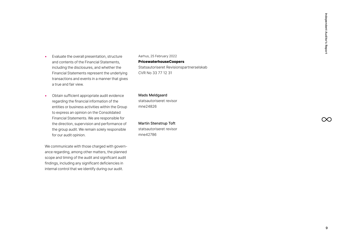- **Evaluate the overall presentation, structure** and contents of the Financial Statements, including the disclosures, and whether the Financial Statements represent the underlying transactions and events in a manner that gives a true and fair view.
- Obtain sufficient appropriate audit evidence regarding the financial information of the entities or business activities within the Group to express an opinion on the Consolidated Financial Statements. We are responsible for the direction, supervision and performance of the group audit. We remain solely responsible for our audit opinion.

We communicate with those charged with governance regarding, among other matters, the planned scope and timing of the audit and significant audit findings, including any significant deficiencies in internal control that we identify during our audit.

#### Aarhus, 25 February 2022

PricewaterhouseCoopers Statsautoriseret Revisionspartnerselskab CVR No 33 77 12 31

#### Mads Meldgaard

statsautoriseret revisor mne24826

Martin Stenstrup Toft statsautoriseret revisor mne42786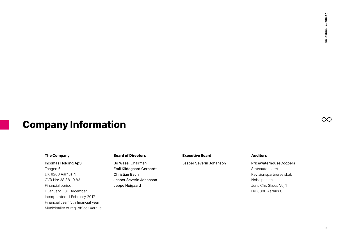# Company Information

#### The Company

Incomas Holding ApS Tangen 6 DK-8200 Aarhus N CVR No: 38 38 10 83 Financial period: 1 January - 31 December Incorporated: 1 February 2017 Financial year : 5th financial year Municipality of reg. office: Aarhus

#### Board of Directors

Bo Wase, Chairman Emil Kildegaard Gerhardt Christian Bach Jesper Severin Johanson Jeppe Højgaard

#### Executive Board

Jesper Severin Johanson

#### Auditors

PricewaterhouseCoopers Statsautoriseret Revisionspartnerselskab Nobelparken Jens Chr. Skous Vej 1 DK-8000 Aarhus C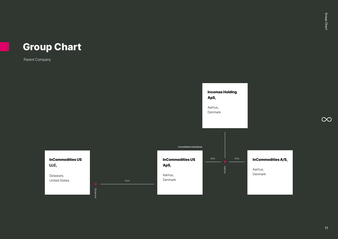# Group Chart

Parent Company

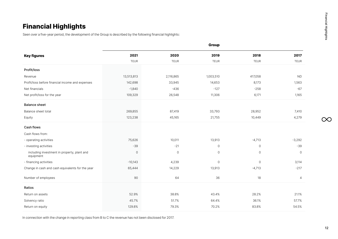## Financial Highlights

Seen over a five-year period, the development of the Group is described by the following financial highlights:

|                                                          |                     |           | Group               |              |                |
|----------------------------------------------------------|---------------------|-----------|---------------------|--------------|----------------|
| <b>Key figures</b>                                       | 2021                | 2020      | 2019                | 2018         | 2017           |
|                                                          | TEUR                | TEUR      | <b>TEUR</b>         | <b>TEUR</b>  | TEUR           |
| Profit/loss                                              |                     |           |                     |              |                |
| Revenue                                                  | 13,513,813          | 2,116,865 | 1,003,510           | 417,058      | <b>ND</b>      |
| Profit/loss before financial income and expenses         | 142,698             | 33,945    | 14,653              | 8,173        | 1,563          |
| Net financials                                           | $-1,840$            | $-436$    | $-127$              | $-258$       | $-67$          |
| Net profit/loss for the year                             | 109,329             | 26,548    | 11,306              | 6,171        | 1,165          |
| <b>Balance sheet</b>                                     |                     |           |                     |              |                |
| Balance sheet total                                      | 269,855             | 87,419    | 33,793              | 28,952       | 7,410          |
| Equity                                                   | 123,238             | 45,165    | 21,755              | 10,449       | 4,279          |
| Cash flows                                               |                     |           |                     |              |                |
| Cash flows from:                                         |                     |           |                     |              |                |
| - operating activities                                   | 75,626              | 10,011    | 13,913              | $-4,713$     | $-3,292$       |
| - investing activities                                   | $-39$               | $-21$     | $\mathsf{O}\xspace$ | 0            | $-39$          |
| including investment in property, plant and<br>equipment | $\mathsf{O}\xspace$ | $\circ$   | 0                   | 0            | $\mathsf O$    |
| - financing activities                                   | $-10,143$           | 4,239     | 0                   | $\mathsf{O}$ | 3,114          |
| Change in cash and cash equivalents for the year         | 65,444              | 14,229    | 13,913              | $-4,713$     | $-217$         |
| Number of employees                                      | 90                  | 64        | 36                  | 18           | $\overline{4}$ |
| Ratios                                                   |                     |           |                     |              |                |
| Return on assets                                         | 52.9%               | 38.8%     | 43.4%               | 28.2%        | 21.1%          |
| Solvency ratio                                           | 45.7%               | 51.7%     | 64.4%               | 36.1%        | 57.7%          |
| Return on equity                                         | 129.8%              | 79.3%     | 70.2%               | 83.8%        | 54.5%          |
|                                                          |                     |           |                     |              |                |

In connection with the change in reporting class from B to C the revenue has not been disclosed for 2017.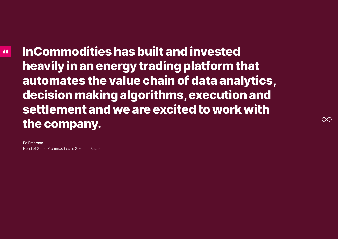InCommodities has built and invested heavily in an energy trading platform that automates the value chain of data analytics, decision making algorithms, execution and settlement and we are excited to work with the company.

 $\infty$ 

Ed Emerson Head of Global Commodities at Goldman Sachs

"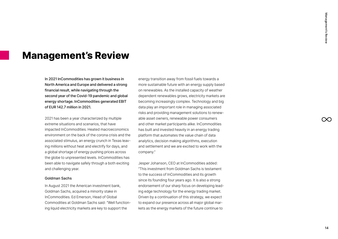# Management's Review

In 2021 InCommodities has grown it business in North America and Europe and delivered a strong financial result, while navigating through the second year of the Covid-19 pandemic and global energy shortage. InCommodities generated EBIT of EUR 142.7 million in 2021.

2021 has been a year characterized by multiple extreme situations and scenarios, that have impacted InCommodities. Heated macroeconomics environment on the back of the corona crisis and the associated stimulus, an energy crunch in Texas leaving millions without heat and electrify for days, and a global shortage of energy pushing prices across the globe to unpresented levels. InCommodities has been able to navigate safely through a both exciting and challenging year.

#### Goldman Sachs

In August 2021 the American investment bank, Goldman Sachs, acquired a minority stake in InCommodities. Ed Emerson, Head of Global Commodities at Goldman Sachs said : "Well functioning liquid electricity markets are key to support the

energy transition away from fossil fuels towards a more sustainable future with an energy supply based on renewables. As the installed capacity of weather dependent renewables grows, electricity markets are becoming increasingly complex. Technology and big data play an important role in managing associated risks and providing management solutions to renewable asset owners, renewable power consumers and other market participants alike. InCommodities has built and invested heavily in an energy trading platform that automates the value chain of data analytics, decision making algorithms, execution and settlement and we are excited to work with the company."

Jesper Johanson, CEO at InCommodities added : "This investment from Goldman Sachs is testament to the success of InCommodities and its growth since its founding four years ago. It is also a strong endorsement of our sharp focus on developing leading edge technology for the energy trading market. Driven by a continuation of this strategy, we expect to expand our presence across all major global markets as the energy markets of the future continue to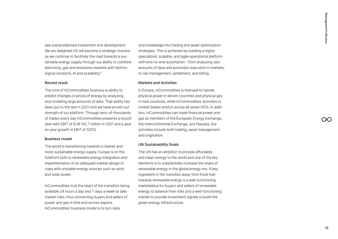see unprecedented investment and development. We are delighted GS will become a strategic investor as we continue to facilitate the road towards a sustainable energy supply through our ability to combine electricity, gas and emissions markets with technological solutions, AI and scalability."

#### Record result

The core of InCommodities business is ability to predict changes in prices of energy by analyzing and modeling large amounts of data. That ability has been put to the test in 2021 and we have proven our strength of our platform. Through tens-of-thousands of trades every day InCommodities presents a record year with EBIT of EUR 142.7 million in 2021 and a year on year growth in EBIT of 320 %.

#### Business model

The world is transitioning towards a cleaner and more sustainable energy supply. Europe is on the forefront both in renewable energy integration and implementation of an adequate market design to cope with unstable energy sources such as wind and solar power.

InCommodities is at the heart of the transition being available 24 hours a day and 7 days a week to take market risks, thus connecting buyers and sellers of power and gas in time and across regions. InCommodities' business model is to turn data

and knowledge into trading and asset optimization strategies. This is achieved by building a highly specialized, scalable, and agile operational platform with end-to-end automation – from analyzing vast amounts of data and automatic execution in markets, to risk management, settlement, and billing.

#### Markets and Activities

In Europe, InCommodities is licensed to handle physical power in eleven countries and physical gas in nine countries, while InCommodities' activities in United States stretch across all seven ISO's. In addition, InCommodities can trade financial power and gas as members of the European Energy Exchange, the Intercontinental Exchange, and Nasdaq. Our activities include both trading, asset management and origination.

#### UN Sustainability Goals

The UN has an ambition to provide affordable and clean energy to the world and one of the key elements is to substantially increase the share of renewable energy in the global energy mix. A key ingredient in the transition away from fossil fuel towards renewable energy is a well-functioning marketplace for buyers and sellers of renewable energy to balance their risks and a well-functioning market to provide investment signals to build the green energy infrastructure.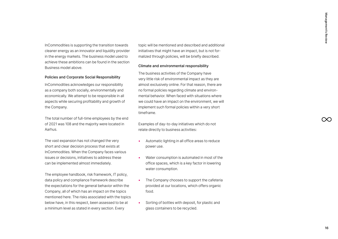InCommodities is supporting the transition towards cleaner energy as an innovator and liquidity provider in the energy markets. The business model used to achieve these ambitions can be found in the section Business model above.

#### Policies and Corporate Social Responsibility

InCommodities acknowledges our responsibility as a company both socially, environmentally and economically. We attempt to be responsible in all aspects while securing profitability and growth of the Company.

The total number of full-time employees by the end of 2021 was 108 and the majority were located in Aarhus.

The vast expansion has not changed the very short and clear decision process that exists at InCommodities. When the Company faces various issues or decisions, initiatives to address these can be implemented almost immediately.

The employee handbook, risk framework, IT policy, data policy and compliance framework describe the expectations for the general behavior within the Company, all of which has an impact on the topics mentioned here. The risks associated with the topics below have, in this respect, been assessed to be at a minimum level as stated in every section. Every

topic will be mentioned and described and additional initiatives that might have an impact, but is not for malized through policies, will be briefly described.

#### Climate and environmental responsibility

The business activities of the Company have very little risk of environmental impact as they are almost exclusively online. For that reason, there are no formal policies regarding climate and environ mental behavior. When faced with situations where we could have an impact on the environment, we will implement such formal policies within a very short timeframe.

Examples of day-to-day initiatives which do not relate directly to business activities :

- Automatic lighting in all office areas to reduce power use.
- Water consumption is automated in most of the office spaces, which is a key factor in lowering water consumption.
- The Company chooses to support the cafeteria provided at our locations, which offers organic food.
- Sorting of bottles with deposit, for plastic and glass containers to be recycled.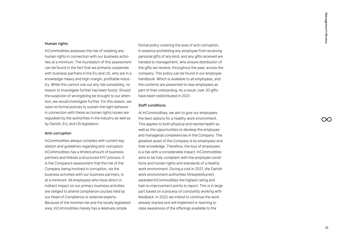#### Human rights

InCommodities assesses the risk of violating any human rights in connection with our business activi ties at a minimum. The foundation of this assessment can be found in the fact that we primarily cooperate with business partners in the EU and US, who are in a knowledge-heavy and high-margin, profitable indus try. While this cannot rule out any risk completely, no reason to investigate further has been found. Should the suspicion of wrongdoing be brought to our atten tion, we would investigate further. For this reason, we have no formal policies to sustain the right behavior in connection with these as human rights issues are regulated by the authorities in the industry as well as by Danish, EU, and US legislation.

#### Anti-corruption

InCommodities always complies with current leg islation and guidelines regarding anti-corruption. InCommodities has a limited amount of business partners and follows a structured KYC process. It is the Company's assessment that the risk of the Company being involved in corruption, via the business activities with our business partners, is at a minimum. All employees who have direct or indirect impact on our primary business activities are obliged to attend compliance courses held by our Head of Compliance or external experts. Because of the minimal risk and the locally legislated area, InCommodities merely has a relatively simple

formal policy covering the area of anti-corruption, in essence prohibiting any employee from receiving personal gifts of any kind, and any gifts received are handed to management, who ensure distribution of the gifts we receive, throughout the year, across the company. This policy can be found in our employee handbook. Which is available to all employees, and the contents are presented to new employees as part of their onboarding. As a result, over 30 gifts have been redistributed in 2021.

#### Staff conditions

At InCommodities, we aim to give our employees the best options for a healthy work environment. This applies to both physical and mental health as well as the opportunities to develop the employee and managerial competencies in the Company. The greatest asset of the Company is its employees and their knowledge. Therefore, the loss of employees is a risk with a considerable impact. InCommodities aims to be fully compliant with the employee condi tions and human rights and standards of a healthy work environment. During a visit in 2021, the Danish work environment authorities (Arbejdstilsynet) awarded InCommodities the highest rating and had no improvement points to report. This is in large part based on a process of constantly working with feedback. In 2022 we intend to continue the work already started and will Implement e-learning to raise awareness of the offerings available to the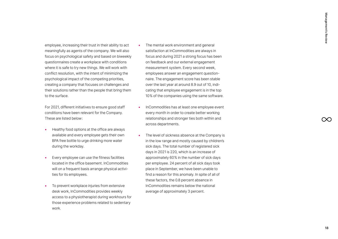employee, increasing their trust in their ability to act meaningfully as agents of the company. We will also focus on psychological safety and based on biweekly questionnaires create a workplace with conditions where it is safe to try new things. We will work with conflict resolution, with the intent of minimizing the psychological impact of the competing priorities, creating a company that focuses on challenges and their solutions rather than the people that bring them to the surface.

For 2021, different initiatives to ensure good staff conditions have been relevant for the Company. These are listed below :

- Healthy food options at the office are always available and every employee gets their own BPA free bottle to urge drinking more water during the workday.
- Every employee can use the fitness facilities located in the office basement. InCommodities will on a frequent basis arrange physical activi ties for its employees.
- To prevent workplace injuries from extensive desk work, InCommodities provides weekly access to a physiotherapist during workhours for those experience problems related to sedentary work.
- The mental work environment and general satisfaction at InCommodities are always in focus and during 2021 a strong focus has been on feedback and our external engagement measurement system. Every second week, employees answer an engagement question naire. The engagement score has been stable over the last year at around 8.9 out of 10, indi cating that employee engagement is in the top 10 % of the companies using the same software.
- InCommodities has at least one employee event every month in order to create better working relationships and stronger ties both within and across departments.
- The level of sickness absence at the Company is in the low range and mostly caused by children's sick days. The total number of registered sick days in 2021 is 220, which is an increase of approximately 60% in the number of sick days per employee. 24 percent of all sick days took place in September, we have been unable to find a reason for this anomaly. In spite of all of these factors, the 0.8 percent absence in InCommodities remains below the national average of approximately 3 percent.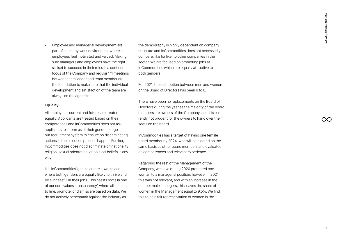Employee and managerial development are part of a healthy work environment where all employees feel motivated and valued. Making sure managers and employees have the right skillset to succeed in their roles is a continuous focus of the Company and regular 1:1 meetings between team leader and team member are the foundation to make sure that the individual development and satisfaction of the team are always on the agenda.

#### Equality

All employees, current and future, are treated equally. Applicants are treated based on their competences and InCommodities does not ask applicants to inform us of their gender or age in our recruitment system to ensure no discriminating actions in the selection process happen. Further, InCommodities does not discriminate on nationality, religion, sexual orientation, or political beliefs in any way.

It is InCommodities' goal to create a workplace where both genders are equally likely to thrive and be successful in their jobs. This has its roots in one of our core values 'transparency', where all actions to hire, promote, or dismiss are based on data. We do not actively benchmark against the industry as

the demography is highly dependent on company structure and InCommodities does not necessarily compare, like for like, to other companies in the sector. We are focused on promoting jobs at InCommodities which are equally attractive to both genders.

For 2021, the distribution between men and women on the Board of Directors has been 6 to 0.

There have been no replacements on the Board of Directors during the year as the majority of the board members are owners of the Company, and it is currently not prudent for the owners to hand over their seats on the board.

InCommodities has a target of having one female board member by 2024, who will be elected on the same basis as other board members and evaluated on competences and relevant experience.

Regarding the rest of the Management of the Company, we have during 2020 promoted one woman to a managerial position, however in 2021 this was not relevant, and with an increase in the number male managers, this leaves the share of women in the Management equal to 9,5 %. We find this to be a fair representation of women in the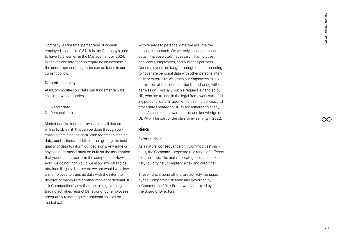Company, as the total percentage of women employed is equal to 9,3 %. It is the Company's goal to have 15 % women in the Management by 2024. Initiatives and information regarding an increase in the underrepresented gender can be found in our current policy.

#### Data ethics policy

At InCommodities our data can fundamentally be split into two categories.

- 1. Market data
- 2. Personal data

Market data is treated as available to all that are willing to obtain it, this can be done through pur chasing or mining the data. With regards to market data, our business model relies on getting the best quality of data to inform our decisions. Any edge or any business model must be built on the assumption that your data outperform the competition. How ever, we do not, nor would we allow any data to be obtained illegally. Neither do we nor would we allow any employee to transmit data with the intent to deceive or manipulate another market participant. It is InCommodities' view that the rules governing our trading activities restrict behavior of our employees adequately to not require additional policies on market data.

With regards to personal data, we assume the opposite approach. We will only collect personal data if it is absolutely necessary. This includes applicants, employees, and business partners. Our employees are taught through their onboarding to not share personal data with other persons inter nally or externally. We teach our employees to ask permission at the source rather than sharing without permission. Typically, such a request is handled by HR, who are trained in the legal framework surround ing personal data. In addition to this the policies and procedures related to GDPR are adhered to at any time. An increased awareness of and knowledge of GDPR will be part of the plan for e-learning in 2022.

#### Risks

#### External risks

As a natural consequence of InCommodities' busi ness, the Company is exposed to a range of different external risks. The main risk categories are market risk, liquidity risk, compliance risk and credit risk.

These risks, among others, are actively managed by the Company's risk team and governed by InCommodities' Risk Framework approved by the Board of Directors.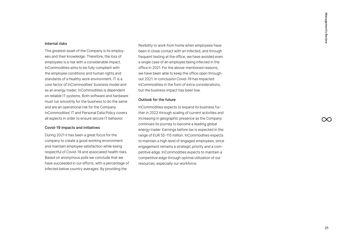#### Internal risks

The greatest asset of the Company is its employees and their knowledge. Therefore, the loss of employees is a risk with a considerable impact. InCommodities aims to be fully compliant with the employee conditions and human rights and standards of a healthy work environment. IT is a core factor of InCommodities' business model and as an energy trader, InCommodities is dependent on reliable IT systems. Both software and hardware must run smoothly for the business to do the same and are an operational risk for the Company. InCommodities' IT and Personal Data Policy covers all aspects in order to ensure secure IT behavior.

#### Covid-19 impacts and initiatives

During 2021 it has been a great focus for the company to create a good working environment and maintain employee satisfaction while being respectful of Covid-19 and associated health risks. Based on anonymous polls we conclude that we have succeeded in our efforts, with a percentage of infected below country averages. By providing the

flexibility to work from home when employees have been in close contact with an infected, and through frequent testing at the office, we have avoided even a single case of an employee being infected in the office in 2021. For the above-mentioned reasons, we have been able to keep the office open throughout 2021. In conclusion Covid-19 has impacted InCommodities in the form of extra considerations, but the business impact has been low.

#### Outlook for the future

InCommodities expects to expand its business further in 2022 through scaling of current activities and increasing in geographic presence as the Company continues its journey to become a leading global energy trader. Earnings before tax is expected in the range of EUR 55-115 million. InCommodities expects to maintain a high level of engaged employees, since engagement remains a strategic priority and a competitive edge. InCommodities expects to maintain a competitive edge through optimal utilization of our resources, especially our workforce.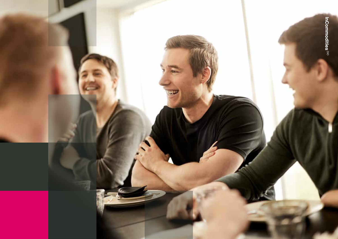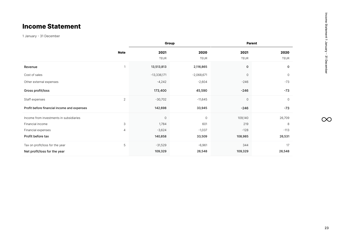### Income Statement

1 January - 31 December

|                                             |                           |               | Group        |             | <b>Parent</b> |
|---------------------------------------------|---------------------------|---------------|--------------|-------------|---------------|
|                                             | <b>Note</b>               | 2021          | 2020         | 2021        | 2020          |
|                                             |                           | <b>TEUR</b>   | <b>TEUR</b>  | <b>TEUR</b> | <b>TEUR</b>   |
| Revenue                                     |                           | 13,513,813    | 2,116,865    | 0           | 0             |
| Cost of sales                               |                           | $-13,336,171$ | $-2,068,671$ | 0           | $\mathbf 0$   |
| Other external expenses                     |                           | $-4,242$      | $-2,604$     | $-246$      | $-73$         |
| Gross profit/loss                           |                           | 173,400       | 45,590       | $-246$      | $-73$         |
| Staff expenses                              | $\overline{2}$            | $-30,702$     | $-11,645$    | 0           | $\mathbf 0$   |
| Profit before financial income and expenses |                           | 142,698       | 33,945       | $-246$      | $-73$         |
| Income from investments in subsidiaries     |                           | $\circ$       | $\mathbf 0$  | 109,140     | 26,709        |
| Financial income                            | $\ensuremath{\mathsf{3}}$ | 1,784         | 601          | 219         | 8             |
| Financial expenses                          | 4                         | $-3,624$      | $-1,037$     | $-128$      | $-113$        |
| Profit before tax                           |                           | 140,858       | 33,509       | 108,985     | 26,531        |
| Tax on profit/loss for the year             | $\mathbf 5$               | $-31,529$     | $-6,961$     | 344         | 17            |
| Net profit/loss for the year                |                           | 109,329       | 26,548       | 109,329     | 26,548        |

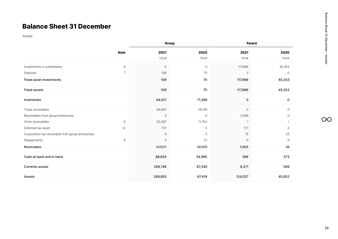### Balance Sheet 31 December

Assets

|                                                   |                | Group        |                     | Parent      |              |  |
|---------------------------------------------------|----------------|--------------|---------------------|-------------|--------------|--|
|                                                   | <b>Note</b>    | 2021         | 2020                | 2021        | 2020         |  |
|                                                   |                | <b>TEUR</b>  | <b>TEUR</b>         | <b>TEUR</b> | TEUR         |  |
| Investments in subsidiaries                       | $\,6$          | $\mathbf{0}$ | $\mathbf 0$         | 117,666     | 45,353       |  |
| Deposits                                          | $\overline{7}$ | 109          | 70                  | 0           | $\mathbf 0$  |  |
| <b>Fixed asset investments</b>                    |                | 109          | 70                  | 117,666     | 45,353       |  |
| <b>Fixed assets</b>                               |                | 109          | 70                  | 117,666     | 45,353       |  |
| Inventories                                       |                | 44,021       | 11,389              | 0           | 0            |  |
| Trade receivables                                 |                | 84,063       | 29,156              | $\circ$     | $\mathbf 0$  |  |
| Receivables from group enterprises                |                | $\mathbf 0$  | $\mathsf{O}\xspace$ | 5,008       | $\circ$      |  |
| Other receivables                                 | 8              | 52,287       | 11,763              |             | $\mathbf{1}$ |  |
| Deferred tax asset                                | 12             | 721          | $\mathbf 0$         | 721         | $\mathbf 0$  |  |
| Corporation tax receivable from group enterprises |                | $\mathsf{O}$ | $\mathbf 0$         | 75          | 25           |  |
| Prepayments                                       | $\hbox{9}$     | $\circ$      | 51                  | 0           | $\mathbf 0$  |  |
| Receivables                                       |                | 137,071      | 40,970              | 5,805       | 26           |  |
| Cash at bank and in hand                          |                | 88,654       | 34,990              | 566         | 573          |  |
| <b>Currents assets</b>                            |                | 269,746      | 87,349              | 6,371       | 599          |  |
| Assets                                            |                | 269,855      | 87,419              | 124,037     | 45,952       |  |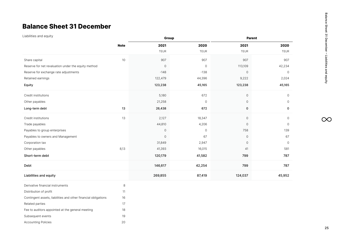### Balance Sheet 31 December

Liabilities and equity

|                                                                |             | Group               |                     | Parent              |                     |  |
|----------------------------------------------------------------|-------------|---------------------|---------------------|---------------------|---------------------|--|
|                                                                | <b>Note</b> | 2021                | 2020                | 2021                | 2020                |  |
|                                                                |             | TEUR                | <b>TEUR</b>         | <b>TEUR</b>         | <b>TEUR</b>         |  |
| Share capital                                                  | $10$        | 907                 | 907                 | 907                 | 907                 |  |
| Reserve for net revaluation under the equity method            |             | $\mathbf 0$         | $\circ$             | 113,109             | 42,234              |  |
| Reserve for exchange rate adjustments                          |             | $-148$              | $-138$              | $\mathsf{O}$        | $\mathsf{O}\xspace$ |  |
| Retained earnings                                              |             | 122,479             | 44,396              | 9,222               | 2,024               |  |
| Equity                                                         |             | 123,238             | 45,165              | 123,238             | 45,165              |  |
| Credit institutions                                            |             | 5,180               | 672                 | $\mathsf{O}\xspace$ | $\mathsf{O}\xspace$ |  |
| Other payables                                                 |             | 21,258              | $\mathsf{O}\xspace$ | $\mathsf{O}\xspace$ | $\mathsf{O}\xspace$ |  |
| Long-term debt                                                 | 13          | 26,438              | 672                 | 0                   | 0                   |  |
| Credit institutions                                            | 13          | 2,127               | 18,347              | $\mathsf{O}\xspace$ | $\mathsf{O}\xspace$ |  |
| Trade payables                                                 |             | 44,810              | 4,206               | $\mathsf{O}\xspace$ | $\mathbf{0}$        |  |
| Payables to group enterprises                                  |             | $\mathsf{O}\xspace$ | $\mathbf 0$         | 758                 | 139                 |  |
| Payables to owners and Management                              |             | $\circ$             | 67                  | 0                   | 67                  |  |
| Corporation tax                                                |             | 31,849              | 2,947               | 0                   | $\mathsf{O}\xspace$ |  |
| Other payables                                                 | 8,13        | 41,393              | 16,015              | 41                  | 581                 |  |
| Short-term debt                                                |             | 120,179             | 41,582              | 799                 | 787                 |  |
| Debt                                                           |             | 146,617             | 42,254              | 799                 | 787                 |  |
| Liabilities and equity                                         |             | 269,855             | 87,419              | 124,037             | 45,952              |  |
| Derivative financial instruments                               | $\,8\,$     |                     |                     |                     |                     |  |
| Distribution of profit                                         | 11          |                     |                     |                     |                     |  |
| Contingent assets, liabilities and other financial obligations | 16          |                     |                     |                     |                     |  |
| Related parties                                                | 17          |                     |                     |                     |                     |  |
| Fee to auditors appointed at the general meeting               | $18\,$      |                     |                     |                     |                     |  |
| Subsequent events                                              | 19          |                     |                     |                     |                     |  |
| <b>Accounting Policies</b>                                     | 20          |                     |                     |                     |                     |  |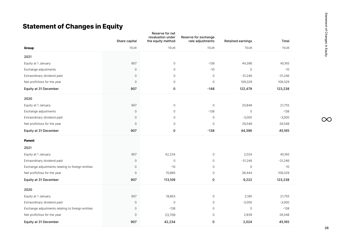## Statement of Changes in Equity

|                                                   | Share capital       | Reserve for net<br>revaluation under<br>the equity method | Reserve for exchange<br>rate adjustments | Retained earnings   | Total     |
|---------------------------------------------------|---------------------|-----------------------------------------------------------|------------------------------------------|---------------------|-----------|
| Group                                             | <b>TEUR</b>         | <b>TEUR</b>                                               | <b>TEUR</b>                              | <b>TEUR</b>         | TEUR      |
| 2021                                              |                     |                                                           |                                          |                     |           |
| Equity at 1 January                               | 907                 | $\mathsf{O}\xspace$                                       | $-138$                                   | 44,396              | 45,165    |
| Exchange adjustments                              | $\circ$             | 0                                                         | $-10$                                    | $\mathsf{O}\xspace$ | $-10$     |
| Extraordinary dividend paid                       | 0                   | $\mathsf{O}\xspace$                                       | 0                                        | $-31,246$           | $-31,246$ |
| Net profit/loss for the year                      | $\mathsf{O}$        | $\mathsf{O}\xspace$                                       | $\mathsf{O}\xspace$                      | 109,329             | 109,329   |
| Equity at 31 December                             | 907                 | 0                                                         | $-148$                                   | 122,479             | 123,238   |
| 2020                                              |                     |                                                           |                                          |                     |           |
| Equity at 1 January                               | 907                 | $\mathsf{O}\xspace$                                       | $\mathsf{O}\xspace$                      | 20,848              | 21,755    |
| Exchange adjustments                              | $\mathbf 0$         | 0                                                         | $-138$                                   | $\mathsf{O}\xspace$ | $-138$    |
| Extraordinary dividend paid                       | 0                   | 0                                                         | $\mathsf{O}\xspace$                      | $-3,000$            | $-3,000$  |
| Net profit/loss for the year                      | $\mathsf{O}\xspace$ | $\mathsf{O}\xspace$                                       | $\mathsf{O}\xspace$                      | 26,548              | 26,548    |
| Equity at 31 December                             | 907                 | 0                                                         | $-138$                                   | 44,396              | 45,165    |
| Parent                                            |                     |                                                           |                                          |                     |           |
| 2021                                              |                     |                                                           |                                          |                     |           |
| Equity at 1 January                               | 907                 | 42,234                                                    | 0                                        | 2,024               | 45,165    |
| Extraordinary dividend paid                       | $\mathsf{O}$        | $\mathsf{O}\xspace$                                       | $\mathsf{O}\xspace$                      | $-31,246$           | $-31,246$ |
| Exchange adjustments relating to foreign entities | $\mathbf 0$         | $-10$                                                     | $\mathsf{O}\xspace$                      | $\mathbf 0$         | $-10$     |
| Net profit/loss for the year                      | $\mathbf 0$         | 70,885                                                    | $\mathsf{O}\xspace$                      | 38,444              | 109,329   |
| Equity at 31 December                             | 907                 | 113,109                                                   | 0                                        | 9,222               | 123,238   |
| 2020                                              |                     |                                                           |                                          |                     |           |
| Equity at 1 January                               | 907                 | 18,663                                                    | 0                                        | 2,185               | 21,755    |
| Extraordinary dividend paid                       | $\circ$             | $\mathsf{O}\xspace$                                       | 0                                        | $-3,000$            | $-3,000$  |
| Exchange adjustments relating to foreign entities | 0                   | $-138$                                                    | $\mathsf{O}\xspace$                      | $\mathsf{O}\xspace$ | $-138$    |
| Net profit/loss for the year                      | $\mathbf 0$         | 23,709                                                    | 0                                        | 2,839               | 26,548    |
| Equity at 31 December                             | 907                 | 42,234                                                    | 0                                        | 2,024               | 45,165    |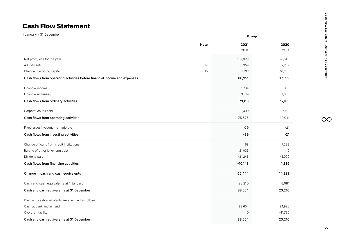Group

### Cash Flow Statement

|  |  |  |  | 1 January - 31 December |
|--|--|--|--|-------------------------|
|--|--|--|--|-------------------------|

| <b>Note</b>                                                               | 2021        | 2020        |
|---------------------------------------------------------------------------|-------------|-------------|
|                                                                           | <b>TEUR</b> | <b>TEUR</b> |
| Net profit/loss for the year                                              | 109,329     | 26,548      |
| 14<br>Adjustments                                                         | 33,359      | 7,259       |
| 15<br>Change in working capital                                           | $-61,737$   | $-16,208$   |
| Cash flows from operating activities before financial income and expenses | 80,951      | 17,599      |
| Financial income                                                          | 1,784       | 600         |
| Financial expenses                                                        | $-3,619$    | $-1,036$    |
| Cash flows from ordinary activities                                       | 79,116      | 17,163      |
| Corporation tax paid                                                      | $-3,490$    | $-7,152$    |
| Cash flows from operating activities                                      | 75,626      | 10,011      |
| Fixed asset investments made etc                                          | $-39$       | $-21$       |
| Cash flows from investing activities                                      | $-39$       | $-21$       |
| Change of loans from credit institutions                                  | 68          | 7,239       |
| Raising of other long-term debt                                           | 21,035      | $\mathbf 0$ |
| Dividend paid                                                             | $-31,246$   | $-3,000$    |
| Cash flows from financing activities                                      | $-10,143$   | 4,239       |
| Change in cash and cash equivalents                                       | 65,444      | 14,229      |
| Cash and cash equivalents at 1 January                                    | 23,210      | 8,981       |
| Cash and cash equivalents at 31 December                                  | 88,654      | 23,210      |
| Cash and cash equivalents are specified as follows:                       |             |             |
| Cash at bank and in hand                                                  | 88,654      | 34,990      |
| Overdraft facility                                                        | 0           | $-11,780$   |
| Cash and cash equivalents at 31 December                                  | 88,654      | 23,210      |

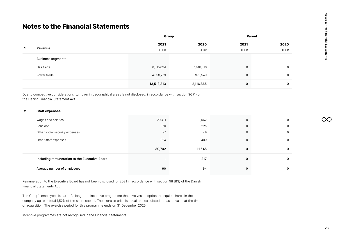### Notes to the Financial Statements

|   |                          | Group       |             | <b>Parent</b> |              |  |
|---|--------------------------|-------------|-------------|---------------|--------------|--|
|   |                          | 2021        | 2020        | 2021          | 2020         |  |
| 1 | <b>Revenue</b>           | <b>TEUR</b> | <b>TEUR</b> | <b>TEUR</b>   | <b>TEUR</b>  |  |
|   | <b>Business segments</b> |             |             |               |              |  |
|   | Gas trade                | 8,815,034   | 1,146,316   | 0             | $\circ$      |  |
|   | Power trade              | 4,698,779   | 970,549     | 0             | $\mathbf{0}$ |  |
|   |                          | 13,513,813  | 2,116,865   | 0             | $\mathbf 0$  |  |

Due to competitive considerations, turnover in geographical areas is not disclosed, in accordance with section 96 (1) of the Danish Financial Statement Act.

#### 2 Staff expenses

| Wages and salaries                            | 29,411 | 10,962 | 0 |  |
|-----------------------------------------------|--------|--------|---|--|
| Pensions                                      | 370    | 225    | 0 |  |
| Other social security expenses                | 97     | 49     | 0 |  |
| Other staff expenses                          | 824    | 409    | 0 |  |
|                                               | 30,702 | 11,645 | 0 |  |
| Including remuneration to the Executive Board | ۰      | 217    | 0 |  |
| Average number of employees                   | 90     | 64     | 0 |  |

Remuneration to the Executive Board has not been disclosed for 2021 in accordance with section 98 B(3) of the Danish Financial Statements Act.

The Group's employees is part of a long term incentive programme that involves an option to acquire shares in the company up to in total 1,52% of the share capital. The exercise price is equal to a calculated net asset value at the time of acquisition. The exercise period for this programme ends on 31 December 2025.

Incentive programmes are not recognised in the Financial Statements.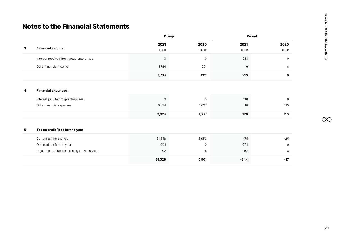### Notes to the Financial Statements

|                         |                                             | Group   |                     |             | Parent       |  |
|-------------------------|---------------------------------------------|---------|---------------------|-------------|--------------|--|
|                         |                                             | 2021    | 2020                | 2021        | 2020         |  |
| 3                       | <b>Financial income</b>                     | TEUR    | TEUR                | <b>TEUR</b> | <b>TEUR</b>  |  |
|                         | Interest received from group enterprises    | $\circ$ | $\mathsf{O}$        | 213         | 0            |  |
|                         | Other financial income                      | 1,784   | 601                 | 6           | 8            |  |
|                         |                                             | 1,784   | 601                 | 219         | 8            |  |
|                         |                                             |         |                     |             |              |  |
| $\overline{\mathbf{4}}$ | <b>Financial expenses</b>                   |         |                     |             |              |  |
|                         | Interest paid to group enterprises          | $\circ$ | $\mathsf{O}\xspace$ | 110         | $\mathbf{0}$ |  |
|                         | Other financial expenses                    | 3,624   | 1,037               | 18          | 113          |  |
|                         |                                             | 3,624   | 1,037               | 128         | 113          |  |
|                         |                                             |         |                     |             |              |  |
| 5                       | Tax on profit/loss for the year             |         |                     |             |              |  |
|                         | Current tax for the year                    | 31,848  | 6,953               | $-75$       | $-25$        |  |
|                         | Deferred tax for the year                   | $-721$  | $\mathbf 0$         | $-721$      | $\mathbf{0}$ |  |
|                         | Adjustment of tax concerning previous years | 402     | $\,8\,$             | 452         | 8            |  |
|                         |                                             | 31,529  | 6,961               | $-344$      | $-17$        |  |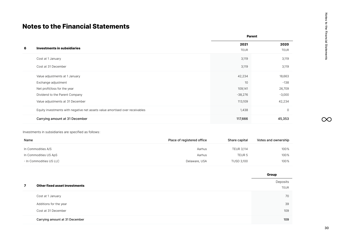### Notes to the Financial Statements

|   |                                                                              | <b>Parent</b> |             |
|---|------------------------------------------------------------------------------|---------------|-------------|
|   |                                                                              | 2021          | 2020        |
| 6 | <b>Investments in subsidiaries</b>                                           | <b>TEUR</b>   | <b>TEUR</b> |
|   | Cost at 1 January                                                            | 3,119         | 3,119       |
|   | Cost at 31 December                                                          | 3,119         | 3,119       |
|   | Value adjustments at 1 January                                               | 42,234        | 18,663      |
|   | Exchange adjustment                                                          | 10            | $-138$      |
|   | Net profit/loss for the year                                                 | 109,141       | 26,709      |
|   | Dividend to the Parent Company                                               | $-38,276$     | $-3,000$    |
|   | Value adjustments at 31 December                                             | 113,109       | 42,234      |
|   | Equity investments with negative net assets value amortised over receivables | 1,438         | $\mathbf 0$ |
|   | Carrying amount at 31 December                                               | 117,666       | 45,353      |

Investments in subsidiaries are specified as follows :

| Name                    | Place of registered office | Share capital     | Votes and ownership |
|-------------------------|----------------------------|-------------------|---------------------|
| In Commodities A/S      | Aarhus                     | <b>TEUR 3,114</b> | 100%                |
| In Commodities US ApS   | Aarhus                     | TEUR <sub>5</sub> | 100%                |
| - In Commodities US LLC | Delaware, USA              | <b>TUSD 3,100</b> | 100%                |

|                |                                | Group       |
|----------------|--------------------------------|-------------|
|                | Other fixed asset investments  | Deposits    |
| $\overline{ }$ |                                | <b>TEUR</b> |
|                | Cost at 1 January              | 70          |
|                | Additions for the year         | 39          |
|                | Cost at 31 December            | 109         |
|                | Carrying amount at 31 December | 109         |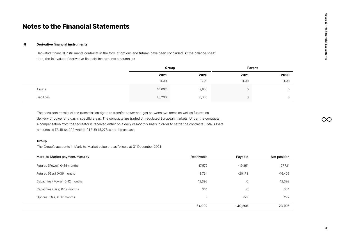### Notes to the Financial Statements

#### 8 Derivative financial instruments

Derivative financial instruments contracts in the form of options and futures have been concluded. At the balance sheet date, the fair value of derivative financial instruments amounts to:

|             |             | Group       |              | <b>Parent</b> |
|-------------|-------------|-------------|--------------|---------------|
|             | 2021        | 2020        | 2021         | 2020          |
|             | <b>TEUR</b> | <b>TEUR</b> | <b>TEUR</b>  | <b>TEUR</b>   |
| Assets      | 64,092      | 9,856       | $\mathbf{0}$ |               |
| Liabilities | 40,296      | 8,636       | 0            |               |

The contracts consist of the transmission rights to transfer power and gas between two areas as well as futures on delivery of power and gas in specific areas. The contracts are traded on regulated European markets. Under the contracts, a compensation from the facilitator is received either on a daily or monthly basis in order to settle the contracts. Total Assets amounts to TEUR 64,092 whereof TEUR 15,278 is settled as cash

#### Group

The Group's accounts in Mark-to-Market value are as follows at 31 December 2021:

| Mark-to-Market payment/maturity | Receivable | Payable   | Net position |
|---------------------------------|------------|-----------|--------------|
| Futures (Power) 0-36 months     | 47,572     | $-19,851$ | 27,721       |
| Futures (Gas) 0-36 months       | 3,764      | $-20,173$ | -16,409      |
| Capacities (Power) 0-12 months  | 12,392     | 0         | 12,392       |
| Capacities (Gas) 0-12 months    | 364        | 0         | 364          |
| Options (Gas) 0-12 months       | 0          | $-272$    | $-272$       |
|                                 | 64,092     | $-40,296$ | 23,796       |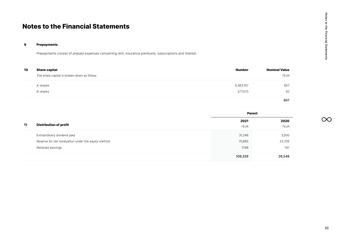### Notes to the Financial Statements

#### 9 Prepayments

Prepayments consist of prepaid expenses concerning rent, insurance premiums, subscriptions and interest.

| 10 | <b>Share capital</b>                        | <b>Number</b> | <b>Nominal Value</b> |
|----|---------------------------------------------|---------------|----------------------|
|    | The share capital is broken down as follow: |               | <b>TEUR</b>          |
|    | A-shares                                    | 6,383,167     | 857                  |
|    | B-shares                                    | 377,570       | 50                   |
|    |                                             |               | 907                  |

|                                                     | Parent      |             |  |
|-----------------------------------------------------|-------------|-------------|--|
|                                                     | 2021        | 2020        |  |
| 11<br><b>Distribution of profit</b>                 | <b>TEUR</b> | <b>TEUR</b> |  |
| Extraordinary dividend paid                         | 31,246      | 3,000       |  |
| Reserve for net revaluation under the equity method | 70,885      | 23,709      |  |
| Retained earnings                                   | 7,198       | $-161$      |  |
|                                                     | 109,329     | 26,548      |  |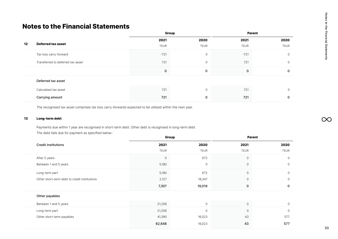### Notes to the Financial Statements

|         |                                   | Group       |             |             | <b>Parent</b>  |
|---------|-----------------------------------|-------------|-------------|-------------|----------------|
|         |                                   | 2021        | 2020        | 2021        | 2020           |
| $12 \,$ | <b>Deferred tax asset</b>         | <b>TEUR</b> | <b>TEUR</b> | <b>TEUR</b> | <b>TEUR</b>    |
|         | Tax loss carry-forward            | $-721$      | $\circ$     | $-721$      | $\mathbf 0$    |
|         | Transferred to deferred tax asset | 721         | $\circ$     | 721         | $\overline{0}$ |
|         |                                   | 0           | $\mathbf 0$ | $\mathbf 0$ | 0              |
|         | Deferred tax asset                |             |             |             |                |
|         | Calculated tax asset              | 721         | $\mathbf 0$ | 721         | $\mathbf 0$    |
|         | Carrying amount                   | 721         | 0           | 721         | $\mathbf 0$    |

The recognised tax asset comprises tax loss carry-forwards expected to be utilised within the next year.

#### 13 Long-term debt

Payments due within 1 year are recognised in short-term debt. Other debt is recognised in long-term debt. The debt falls due for payment as specified below :

|                                              | Group        |                     |              | <b>Parent</b>  |
|----------------------------------------------|--------------|---------------------|--------------|----------------|
| <b>Credit institutions</b>                   | 2021         | 2020                | 2021         | 2020           |
|                                              | <b>TEUR</b>  | <b>TEUR</b>         | <b>TEUR</b>  | <b>TEUR</b>    |
| After 5 years                                | $\mathbf{0}$ | 672                 | $\circ$      | $\overline{0}$ |
| Between 1 and 5 years                        | 5,180        | 0                   | 0            | $\circ$        |
| Long-term part                               | 5,180        | 672                 | $\circ$      | $\overline{0}$ |
| Other short-term debt to credit institutions | 2,127        | 18,347              | 0            | $\mathbf{0}$   |
|                                              | 7,307        | 19,019              | 0            | 0              |
| Other payables                               |              |                     |              |                |
| Between 1 and 5 years                        | 21,258       | $\mathsf{O}\xspace$ | $\mathsf{O}$ | $\mathbf{0}$   |
| Long-term part                               | 21,258       | $\mathsf{O}\xspace$ | $\circ$      | $\Omega$       |
| Other short-term payables                    | 41,390       | 16,023              | 43           | 577            |
|                                              | 62,648       | 16,023              | 43           | 577            |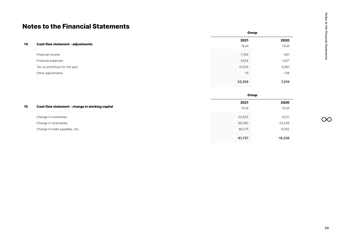### Notes to the Financial Statements

|                                   | Group       |             |  |
|-----------------------------------|-------------|-------------|--|
| 14                                | 2021        | 2020        |  |
| Cash flow statement - adjustments | <b>TEUR</b> | <b>TEUR</b> |  |
| Financial income                  | $-1,784$    | $-601$      |  |
| Financial expenses                | 3,624       | 1,037       |  |
| Tax on profit/loss for the year   | 31,529      | 6,961       |  |
| Other adjustments                 | $-10$       | $-138$      |  |
|                                   | 33,359      | 7,259       |  |

|    |                                                 | Group       |             |
|----|-------------------------------------------------|-------------|-------------|
|    |                                                 | 2021        | 2020        |
| 15 | Cash flow statement - change in working capital | <b>TEUR</b> | <b>TEUR</b> |
|    | Change in inventories                           | $-32,632$   | $-6,121$    |
|    | Change in receivables                           | -95,380     | $-23,249$   |
|    | Change in trade payables, etc.                  | 66,275      | 13,162      |
|    |                                                 | -61,737     | $-16,208$   |

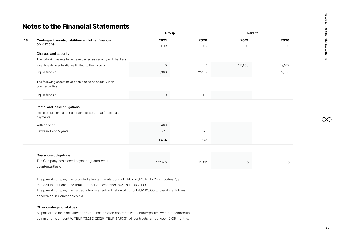### Notes to the Financial Statements

|    | <b>Contingent assets, liabilities and other financial</b><br>obligations  | Group       |             | <b>Parent</b>       |                     |
|----|---------------------------------------------------------------------------|-------------|-------------|---------------------|---------------------|
| 16 |                                                                           | 2021        | 2020        | 2021                | 2020                |
|    |                                                                           | <b>TEUR</b> | <b>TEUR</b> | <b>TEUR</b>         | <b>TEUR</b>         |
|    | Charges and security                                                      |             |             |                     |                     |
|    | The following assets have been placed as security with bankers:           |             |             |                     |                     |
|    | Investments in subsidiaries limited to the value of                       | 0           | $\mathbf 0$ | 117,666             | 43,572              |
|    | Liquid funds of                                                           | 70,366      | 25,189      | $\mathsf{O}\xspace$ | 2,000               |
|    | The following assets have been placed as security with<br>counterparties: |             |             |                     |                     |
|    | Liquid funds of                                                           | 0           | 110         | $\mathsf{O}\xspace$ | $\mathbf{0}$        |
|    | Rental and lease obligations                                              |             |             |                     |                     |
|    | Lease obligations under operating leases. Total future lease<br>payments: |             |             |                     |                     |
|    | Within 1 year                                                             | 460         | 302         | $\circ$             | $\mathbf{0}$        |
|    | Between 1 and 5 years                                                     | 974         | 376         | $\circ$             | $\mathbf{0}$        |
|    |                                                                           | 1,434       | 678         | $\mathsf{o}\,$      | $\mathsf{o}\,$      |
|    |                                                                           |             |             |                     |                     |
|    | Guarantee obligations                                                     |             |             |                     |                     |
|    | The Company has placed payment quarantees to<br>counterparties of         | 107,545     | 15,491      | $\circ$             | $\mathsf{O}\xspace$ |

The parent company has provided a limited surety bond of TEUR 20,145 for In Commodities A/S to credit institutions. The total debt per 31 December 2021 is TEUR 2,109. The parent company has issued a turnover subordination of up to TEUR 10,000 to credit institutions concerning In Commodities A/S.

#### Other contingent liabilities

As part of the main activities the Group has entered contracts with counterparties whereof contractual commitments amount to TEUR 73,263 (2020: TEUR 34,533). All contracts run between 0-36 months.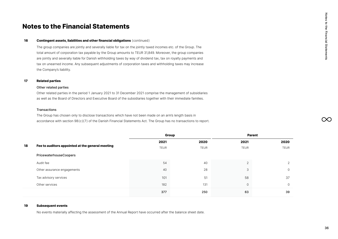### Notes to the Financial Statements

#### 16 Contingent assets, liabilities and other financial obligations (continued)

The group companies are jointly and severally liable for tax on the jointly taxed incomes etc. of the Group. The total amount of corporation tax payable by the Group amounts to TEUR 31,849. Moreover, the group companies are jointly and severally liable for Danish withholding taxes by way of dividend tax, tax on royalty payments and tax on unearned income. Any subsequent adjustments of corporation taxes and withholding taxes may increase the Company's liability.

#### 17 Related parties

#### Other related parties

Other related parties in the period 1 January 2021 to 31 December 2021 comprise the management of subsidiaries as well as the Board of Directors and Executive Board of the subsidiaries together with their immediate families.

#### **Transactions**

The Group has chosen only to disclose transactions which have not been made on an arm's length basis in accordance with section 98(c)(7) of the Danish Financial Statements Act. The Group has no transactions to report.

|    |                                                  | Group       |             |                    | <b>Parent</b> |  |
|----|--------------------------------------------------|-------------|-------------|--------------------|---------------|--|
|    |                                                  | 2021        | 2020        | 2021               | 2020          |  |
| 18 | Fee to auditors appointed at the general meeting | <b>TEUR</b> | <b>TEUR</b> | <b>TEUR</b>        | <b>TEUR</b>   |  |
|    | <b>PricewaterhouseCoopers</b>                    |             |             |                    |               |  |
|    | Audit fee                                        | 54          | 40          | $\mathcal{D}$<br>∠ |               |  |
|    | Other assurance engagements                      | 40          | 28          | 3                  | $\Omega$      |  |
|    | Tax advisory services                            | 101         | 51          | 58                 | 37            |  |
|    | Other services                                   | 182         | 131         | 0                  |               |  |
|    |                                                  | 377         | 250         | 63                 | 39            |  |

#### 19 Subsequent events

No events materially affecting the assessment of the Annual Report have occurred after the balance sheet date.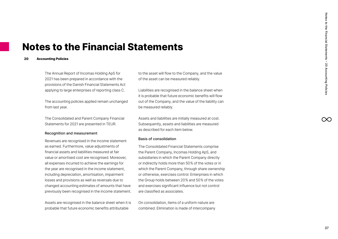# Notes to the Financial Statements

#### 20 Accounting Policies

The Annual Report of Incomas Holding ApS for 2021 has been prepared in accordance with the provisions of the Danish Financial Statements Act applying to large enterprises of reporting class C.

The accounting policies applied remain unchanged from last year.

The Consolidated and Parent Company Financial Statements for 2021 are presented in TEUR.

#### Recognition and measurement

Revenues are recognised in the income statement as earned. Furthermore, value adjustments of financial assets and liabilities measured at fair value or amortised cost are recognised. Moreover, all expenses incurred to achieve the earnings for the year are recognised in the income statement, including depreciation, amortisation, impairment losses and provisions as well as reversals due to changed accounting estimates of amounts that have previously been recognised in the income statement.

Assets are recognised in the balance sheet when it is probable that future economic benefits attributable

to the asset will flow to the Company, and the value of the asset can be measured reliably.

Liabilities are recognised in the balance sheet when it is probable that future economic benefits will flow out of the Company, and the value of the liability can be measured reliably.

Assets and liabilities are initially measured at cost. Subsequently, assets and liabilities are measured as described for each item below.

#### Basis of consolidation

The Consolidated Financial Statements comprise the Parent Company, Incomas Holding ApS, and subsidiaries in which the Parent Company directly or indirectly holds more than 50 % of the votes or in which the Parent Company, through share ownership or otherwise, exercises control. Enterprises in which the Group holds between 20 % and 50 % of the votes and exercises significant influence but not control are classified as associates.

On consolidation, items of a uniform nature are combined. Elimination is made of intercompany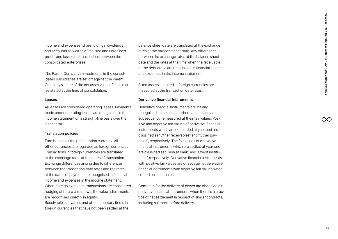income and expenses, shareholdings, dividends and accounts as well as of realised and unrealised profits and losses on transactions between the consolidated enterprises.

The Parent Company's investments in the consol idated subsidiaries are set off against the Parent Company's share of the net asset value of subsidiar ies stated at the time of consolidation.

#### **Leases**

All leases are considered operating leases. Payments made under operating leases are recognised in the income statement on a straight-line basis over the lease term.

#### Translation policies

Euro is used as the presentation currency. All other currencies are regarded as foreign currencies. Transactions in foreign currencies are translated at the exchange rates at the dates of transaction. Exchange differences arising due to differences between the transaction date rates and the rates at the dates of payment are recognised in financial income and expenses in the income statement. Where foreign exchange transactions are considered

hedging of future cash flows, the value adjustments are recognised directly in equity.

Receivables, payables and other monetary items in foreign currencies that have not been settled at the

balance sheet date are translated at the exchange rates at the balance sheet date. Any differences between the exchange rates at the balance sheet date and the rates at the time when the receivable or the debt arose are recognised in financial income and expenses in the income statement.

Fixed assets acquired in foreign currencies are measured at the transaction date rates.

#### Derivative financial instruments

Derivative financial instruments are initially recognised in the balance sheet at cost and are subsequently remeasured at their fair values. Pos itive and negative fair values of derivative financial instruments which are not settled at year end are classified as "Other receivables" and "Other pay ables", respectively. The fair values of derivative financial instruments which are settled at year end are classified as "Cash at bank" and "Credit institu tions", respectively. Derivative financial instruments with positive fair values are offset against derivative financial instruments with negative fair values when settled on a net basis.

Contracts for the delivery of power are classified as derivative financial instruments when there is a prac tice of net settlement in respect of similar contracts, including saleback before delivery.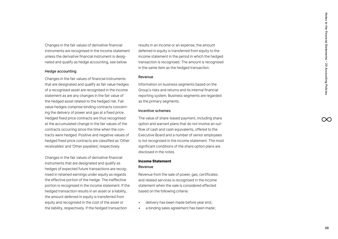Changes in the fair values of derivative financial instruments are recognised in the income statement unless the derivative financial instrument is desig nated and qualify as hedge accounting, see below.

#### Hedge accounting

Changes in the fair values of financial instruments that are designated and qualify as fair value hedges of a recognised asset are recognised in the income statement as are any changes in the fair value of the hedged asset related to the hedged risk. Fair value hedges comprise binding contracts concern ing the delivery of power and gas at a fixed price. Hedged fixed price contracts are thus recognised at the accumulated change in the fair values of the contracts occurring since the time when the con tracts were hedged. Positive and negative values of hedged fixed price contracts are classified as 'Other receivables' and 'Other payables', respectively.

Changes in the fair values of derivative financial instruments that are designated and qualify as hedges of expected future transactions are recog nised in retained earnings under equity as regards the effective portion of the hedge. The ineffective portion is recognised in the income statement. If the hedged transaction results in an asset or a liability, the amount deferred in equity is transferred from equity and recognised in the cost of the asset or the liability, respectively. If the hedged transaction

results in an income or an expense, the amount deferred in equity is transferred from equity to the income statement in the period in which the hedged transaction is recognised. The amount is recognised in the same item as the hedged transaction.

#### Revenue

Information on business segments based on the Group ́s risks and returns and its internal financial reporting system. Business segments are regarded as the primary segments.

#### Incentive schemes

The value of share-based payment, including share option and warrant plans that do not involve an outflow of cash and cash equivalents, offered to the Executive Board and a number of senior employees is not recognised in the income statement. The most significant conditions of the share option plans are disclosed in the notes.

#### Income Statement Revenue

Revenue from the sale of power, gas, certificates and related services is recognised in the income statement when the sale is considered effected based on the following criteria:

- delivery has been made before year end:
- a binding sales agreement has been made;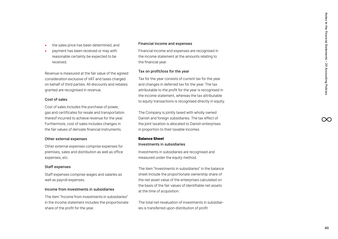- the sales price has been determined; and
- payment has been received or may with reasonable certainty be expected to be received.

Revenue is measured at the fair value of the agreed consideration exclusive of VAT and taxes charged on behalf of third parties. All discounts and rebates granted are recognised in revenue.

#### Cost of sales

Cost of sales includes the purchase of power, gas and certificates for resale and transportation thereof incurred to achieve revenue for the year. Furthermore, cost of sales includes changes in the fair values of derivate financial instruments.

#### Other external expenses

Other external expenses comprise expenses for premises, sales and distribution as well as office expenses, etc.

#### Staff expenses

Staff expenses comprise wages and salaries as well as payroll expenses.

#### Income from investments in subsidiaries

The item "Income from investments in subsidiaries" in the income statement includes the proportionate share of the profit for the year.

#### Financial income and expenses

Financial income and expenses are recognised in the income statement at the amounts relating to the financial year.

#### Tax on profit/loss for the year

Tax for the year consists of current tax for the year and changes in deferred tax for the year. The tax attributable to the profit for the year is recognised in the income statement, whereas the tax attributable to equity transactions is recognised directly in equity.

The Company is jointly taxed with wholly owned Danish and foreign subsidiaries. The tax effect of the joint taxation is allocated to Danish enterprises in proportion to their taxable incomes

#### Balance Sheet

#### Investments in subsidiaries

Investments in subsidiaries are recognised and measured under the equity method.

The item "Investments in subsidiaries" in the balance sheet include the proportionate ownership share of the net asset value of the enterprises calculated on the basis of the fair values of identifiable net assets at the time of acquisition.

The total net revaluation of investments in subsidiar ies is transferred upon distribution of profit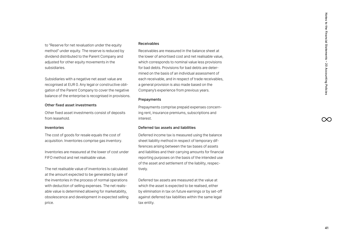to "Reserve for net revaluation under the equity method" under equity. The reserve is reduced by dividend distributed to the Parent Company and adjusted for other equity movements in the subsidiaries.

Subsidiaries with a negative net asset value are recognised at EUR 0. Any legal or constructive obli gation of the Parent Company to cover the negative balance of the enterprise is recognised in provisions.

#### Other fixed asset investments

Other fixed asset investments consist of deposits from leasehold.

#### Inventories

The cost of goods for resale equals the cost of acquisition. Inventories comprise gas inventory.

Inventories are measured at the lower of cost under FIFO method and net realisable value.

The net realisable value of inventories is calculated at the amount expected to be generated by sale of the inventories in the process of normal operations with deduction of selling expenses. The net realis able value is determined allowing for marketability, obsolescence and development in expected selling price.

#### Receivables

Receivables are measured in the balance sheet at the lower of amortised cost and net realisable value, which corresponds to nominal value less provisions for bad debts. Provisions for bad debts are determined on the basis of an individual assessment of each receivable, and in respect of trade receivables, a general provision is also made based on the Company's experience from previous years.

#### **Prepayments**

Prepayments comprise prepaid expenses concern ing rent, insurance premiums, subscriptions and interest.

#### Deferred tax assets and liabilities

Deferred income tax is measured using the balance sheet liability method in respect of temporary dif ferences arising between the tax bases of assets and liabilities and their carrying amounts for financial reporting purposes on the basis of the intended use of the asset and settlement of the liability, respec tively.

Deferred tax assets are measured at the value at which the asset is expected to be realised, either by elimination in tax on future earnings or by set-off against deferred tax liabilities within the same legal tax entity.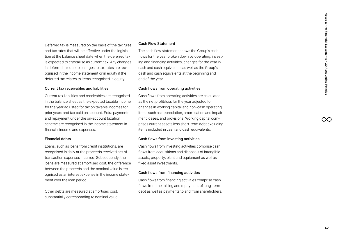Deferred tax is measured on the basis of the tax rules and tax rates that will be effective under the legislation at the balance sheet date when the deferred tax is expected to crystallise as current tax. Any changes in deferred tax due to changes to tax rates are rec ognised in the income statement or in equity if the deferred tax relates to items recognised in equity.

#### Current tax receivables and liabilities

Current tax liabilities and receivables are recognised in the balance sheet as the expected taxable income for the year adjusted for tax on taxable incomes for prior years and tax paid on account. Extra payments and repayment under the on-account taxation scheme are recognised in the income statement in financial income and expenses.

#### Financial debts

Loans, such as loans from credit institutions, are recognised initially at the proceeds received net of transaction expenses incurred. Subsequently, the loans are measured at amortised cost; the difference between the proceeds and the nominal value is rec ognised as an interest expense in the income state ment over the loan period.

Other debts are measured at amortised cost, substantially corresponding to nominal value.

#### Cash Flow Statement

The cash flow statement shows the Group's cash flows for the year broken down by operating, invest ing and financing activities, changes for the year in cash and cash equivalents as well as the Group ́s cash and cash equivalents at the beginning and end of the year.

#### Cash flows from operating activities

Cash flows from operating activities are calculated as the net profit/loss for the year adjusted for changes in working capital and non-cash operating items such as depreciation, amortisation and impair ment losses, and provisions. Working capital com prises current assets less short-term debt excluding items included in cash and cash equivalents.

#### Cash flows from investing activities

Cash flows from investing activities comprise cash flows from acquisitions and disposals of intangible assets, property, plant and equipment as well as fixed asset investments.

#### Cash flows from financing activities

Cash flows from financing activities comprise cash flows from the raising and repayment of long-term debt as well as payments to and from shareholders.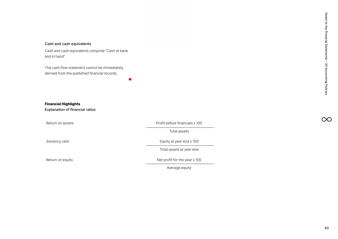#### Cash and cash equivalents

Cash and cash equivalents comprise "Cash at bank and in hand".

The cash flow statement cannot be immediately derived from the published financial records.

 $\overline{\phantom{a}}$ 

#### Financial Highlights

Explanation of financial ratios

Return on assets Profit before financials x 100

Total assets

Solvency ratio **Equity at year end x 100** 

Total assets at year end

Return on equity **Net profit for the year x 100** 

Average equity